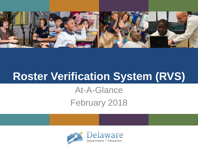

# **Roster Verification System (RVS)**

At-A-Glance February 2018

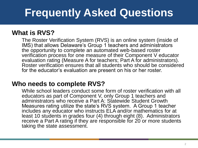# **Frequently Asked Questions**

### **What is RVS?**

The Roster Verification System (RVS) is an online system (inside of IMS) that allows Delaware's Group 1 teachers and administrators the opportunity to complete an automated web-based roster verification process for one measure of their Component V educator evaluation rating (Measure A for teachers; Part A for administrators). Roster verification ensures that all students who should be considered for the educator's evaluation are present on his or her roster.

### **Who needs to complete RVS?**

While school leaders conduct some form of roster verification with all educators as part of Component V, only Group 1 teachers and administrators who receive a Part A: Statewide Student Growth Measures rating utilize the state's RVS system. A Group 1 teacher includes any educator who instructs ELA and/or mathematics for at least 10 students in grades four (4) through eight (8). Administrators receive a Part A rating if they are responsible for 20 or more students taking the state assessment.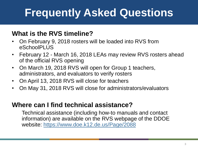# **Frequently Asked Questions**

### **What is the RVS timeline?**

- On February 9, 2018 rosters will be loaded into RVS from eSchoolPLUS
- February 12 March 16, 2018 LEAs may review RVS rosters ahead of the official RVS opening
- On March 19, 2018 RVS will open for Group 1 teachers, administrators, and evaluators to verify rosters
- On April 13, 2018 RVS will close for teachers
- On May 31, 2018 RVS will close for administrators/evaluators

### **Where can I find technical assistance?**

Technical assistance (including how-to manuals and contact information) are available on the RVS webpage of the DDOE website:<https://www.doe.k12.de.us/Page/2088>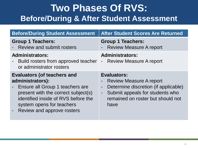## **Two Phases Of RVS: Before/During & After Student Assessment**

| <b>Before/During Student Assessment</b>                                                                                                                                                                                            | <b>After Student Scores Are Returned</b>                                                                                                                                                                         |
|------------------------------------------------------------------------------------------------------------------------------------------------------------------------------------------------------------------------------------|------------------------------------------------------------------------------------------------------------------------------------------------------------------------------------------------------------------|
| <b>Group 1 Teachers:</b><br><b>Review and submit rosters</b>                                                                                                                                                                       | <b>Group 1 Teachers:</b><br><b>Review Measure A report</b>                                                                                                                                                       |
| <b>Administrators:</b><br>Build rosters from approved teacher<br>or administrator rosters                                                                                                                                          | <b>Administrators:</b><br>- Review Measure A report                                                                                                                                                              |
| <b>Evaluators (of teachers and</b><br>administrators):<br>Ensure all Group 1 teachers are<br>present with the correct subject(s)<br>identified inside of RVS before the<br>system opens for teachers<br>Review and approve rosters | <b>Evaluators:</b><br><b>Review Measure A report</b><br>Determine discretion (if applicable)<br>$\blacksquare$<br>Submit appeals for students who<br>$\blacksquare$<br>remained on roster but should not<br>have |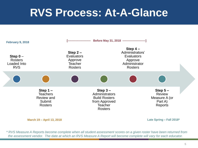# **RVS Process: At-A-Glance**



**March 19 – April 13, 2018**

**Late Spring – Fall 2018\***

*\* RVS Measure A Reports become complete when all student assessment scores on a given roster have been returned from the assessment vendor. The date at which an RVS Measure A Report will become complete will vary for each educator.*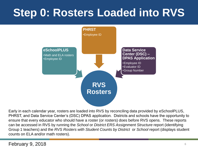# **Step 0: Rosters Loaded into RVS**



Early in each calendar year, rosters are loaded into RVS by reconciling data provided by eSchoolPLUS, PHRST, and Data Service Center's (DSC) DPAS application. Districts and schools have the opportunity to ensure that every educator who should have a roster (or rosters) does before RVS opens. These reports can be accessed in RVS by running the *School* or *District ERS Assignment Structure* report (identifying Group 1 teachers) and the *RVS Rosters with Student Counts by District* or *School* report (displays student counts on ELA and/or math rosters).

#### February 9, 2018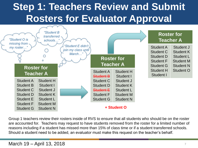# **Step 1: Teachers Review and Submit Rosters for Evaluator Approval**



Group 1 teachers review their rosters inside of RVS to ensure that all students who should be on the roster are accounted for. Teachers may request to have students removed from the roster for a limited number of reasons including if a student has missed more than 15% of class time or if a student transferred schools. Should a student need to be added, an evaluator must make this request on the teacher's behalf.

#### March 19 – April 13, 2018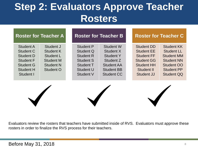## **Step 2: Evaluators Approve Teacher Rosters**

|                                                                                                                            | <b>Roster for Teacher A</b>                                                                     |                                                                                                              | <b>Roster for Teacher B</b>                                                                                                   |                                                                                                                                          | <b>Roster for Teacher C</b>                                                                                                              |
|----------------------------------------------------------------------------------------------------------------------------|-------------------------------------------------------------------------------------------------|--------------------------------------------------------------------------------------------------------------|-------------------------------------------------------------------------------------------------------------------------------|------------------------------------------------------------------------------------------------------------------------------------------|------------------------------------------------------------------------------------------------------------------------------------------|
| <b>Student A</b><br>Student C<br><b>Student D</b><br><b>Student F</b><br><b>Student G</b><br><b>Student H</b><br>Student I | Student J<br>Student K<br>Student L<br><b>Student M</b><br><b>Student N</b><br><b>Student O</b> | Student P<br>Student Q<br><b>Student R</b><br><b>Student S</b><br>Student T<br>Student U<br><b>Student V</b> | <b>Student W</b><br>Student X<br><b>Student Y</b><br>Student Z<br><b>Student AA</b><br><b>Student BB</b><br><b>Student CC</b> | <b>Student DD</b><br><b>Student EE</b><br><b>Student FF</b><br><b>Student GG</b><br><b>Student HH</b><br>Student II<br><b>Student JJ</b> | <b>Student KK</b><br><b>Student LL</b><br><b>Student MM</b><br><b>Student NN</b><br>Student OO<br><b>Student PP</b><br><b>Student QQ</b> |
|                                                                                                                            |                                                                                                 |                                                                                                              |                                                                                                                               |                                                                                                                                          |                                                                                                                                          |

Evaluators review the rosters that teachers have submitted inside of RVS. Evaluators must approve these rosters in order to finalize the RVS process for their teachers.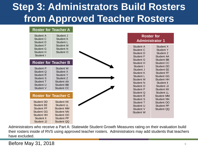# **Step 3: Administrators Build Rosters from Approved Teacher Rosters**

#### **Roster for Teacher A**

| Student A<br>Student C<br>Student D                                                     | Student J<br>Student K<br>Student L                                                        |                                                                                                      | <b>Roster for</b><br><b>Administrator 1</b>                                                                         |  |
|-----------------------------------------------------------------------------------------|--------------------------------------------------------------------------------------------|------------------------------------------------------------------------------------------------------|---------------------------------------------------------------------------------------------------------------------|--|
| Student F<br>Student G<br>Student H<br>Student I                                        | Student M<br><b>Student N</b><br>Student O                                                 | Student A<br>Student C<br>Student D                                                                  | Student X<br>Student Y<br>Student Z                                                                                 |  |
|                                                                                         | <b>Roster for Teacher B</b>                                                                | Student F<br>Student G<br>Student H                                                                  | Student AA<br>Student BB<br><b>Student CC</b>                                                                       |  |
| Student P<br>Student Q<br>Student R<br>Student S<br>Student T<br>Student U<br>Student V | Student W<br>Student X<br>Student Y<br>Student Z<br>Student AA<br>Student BB<br>Student CC | Student I<br>Student J<br>Student K<br>Student L<br>Student M<br>Student N<br>Student O<br>Student P | Student DD<br>Student EE<br>Student FF<br><b>Student GG</b><br>Student HH<br>Student II<br>Student JJ<br>Student KK |  |
|                                                                                         | <b>Roster for Teacher C</b>                                                                | Student Q<br>Student R<br>Student S                                                                  | Student LL<br>Student MM<br>Student NN                                                                              |  |
| Student DD<br><b>Student EE</b><br>Student FF<br><b>Student GG</b><br>Student HH        | <b>Student KK</b><br>Student LL<br><b>Student MM</b><br><b>Student NN</b><br>Student OO    | Student T<br>Student U<br>Student V<br>Student W                                                     | Student OO<br>Student PP<br>Student QQ                                                                              |  |
| Student II<br>Student JJ                                                                | Student PP<br>Student QQ                                                                   |                                                                                                      |                                                                                                                     |  |

Administrators who receive a Part A: Statewide Student Growth Measures rating on their evaluation build their rosters inside of RVS using approved teacher rosters. Administrators may add students that teachers have excluded.

Before May 31, 2018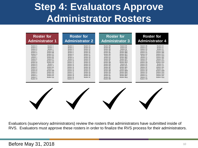## **Step 4: Evaluators Approve Administrator Rosters**

| <b>Roster for</b>                                                                                                                                                                                                                                                                                                                                                                                                                                                                                                                                                   |                                                                                                                                                                                                                                                                                           | <b>Roster for</b>                                                                                                                                                                                                                                                                    |                                                                                                                                                                                                                                                                                                    | <b>Roster for</b>                                                                                                                                                                                                                                                                                     | <b>Roster for</b>                                                                                                                                                                                                                                                                                  |                                                                                                                                                                                                                                                                                                       |  |
|---------------------------------------------------------------------------------------------------------------------------------------------------------------------------------------------------------------------------------------------------------------------------------------------------------------------------------------------------------------------------------------------------------------------------------------------------------------------------------------------------------------------------------------------------------------------|-------------------------------------------------------------------------------------------------------------------------------------------------------------------------------------------------------------------------------------------------------------------------------------------|--------------------------------------------------------------------------------------------------------------------------------------------------------------------------------------------------------------------------------------------------------------------------------------|----------------------------------------------------------------------------------------------------------------------------------------------------------------------------------------------------------------------------------------------------------------------------------------------------|-------------------------------------------------------------------------------------------------------------------------------------------------------------------------------------------------------------------------------------------------------------------------------------------------------|----------------------------------------------------------------------------------------------------------------------------------------------------------------------------------------------------------------------------------------------------------------------------------------------------|-------------------------------------------------------------------------------------------------------------------------------------------------------------------------------------------------------------------------------------------------------------------------------------------------------|--|
| <b>Administrator 1</b>                                                                                                                                                                                                                                                                                                                                                                                                                                                                                                                                              |                                                                                                                                                                                                                                                                                           | <b>Administrator 2</b>                                                                                                                                                                                                                                                               |                                                                                                                                                                                                                                                                                                    | <b>Administrator 3</b>                                                                                                                                                                                                                                                                                | <b>Administrator 4</b>                                                                                                                                                                                                                                                                             |                                                                                                                                                                                                                                                                                                       |  |
| Student X<br>Student A<br>Student C<br>Student Y<br>Student D<br>Student Z<br>Student F<br>Student AA<br>Student G<br>Student BB<br>Student H<br>Student CC<br>Student I<br>Student DD<br>Student J<br>Student EE<br>Student K<br>Student FF<br>Student L<br>Student GG<br>Student M<br>Student HH<br>Student N<br>Student II<br>Student O<br>Student .11<br>Student P<br>Student KK<br>Student Q<br>Student LL<br>Student R<br>Student MM<br>Student S<br>Student NN<br>Student T<br>Student OO<br>Student U<br>Student PP<br>Student V<br>Student QQ<br>Student W | Student 1<br>Student 2<br>Student 3<br>Student 4<br>Student 5<br>Student 6<br>Student 7<br>Student 8<br>Student 9<br>Student 10<br>Student 11<br>Student 12<br>Student 13<br>Student 14<br>Student 15<br>Student 16<br>Student 17<br>Student 18<br>Student 19<br>Student 20<br>Student 21 | Student 22<br>Student 23<br>Student 24<br>Student 25<br>Student 26<br>Student 27<br>Student 28<br>Student 29<br>Student 30<br>Student 31<br>Student 32<br>Student 33<br>Student 34<br>Student 35<br>Student 36<br>Student 37<br>Student 38<br>Student 39<br>Student 40<br>Student 41 | Student BB<br>Student BC<br>Student BD<br>Student BF<br>Student BG<br>Student BH<br>Student BI<br>Student BJ<br>Student BK<br>Student BL<br>Student BM<br>Student BN<br>Student BO<br>Student BP<br>Student BO<br>Student BR<br>Student BS<br>Student BT<br>Student BU<br>Student BV<br>Student BW | Student BX<br>Student BY<br>Student BZ<br>Student BAA<br>Student BBB<br>Student BCC<br>Student BDD<br>Student BEE<br>Student BFF<br>Student BGG<br>Student BHH<br>Student BII<br>Student BJJ<br>Student BKK<br>Student BLL<br>Student BMM<br>Student BNN<br>Student BOO<br>Student BPP<br>Student BQQ | Student CB<br>Student CC<br>Student CD<br>Student CF<br>Student CG<br>Student CH<br>Student CI<br>Student CJ<br>Student CK<br>Student CL<br>Student CM<br>Student CN<br>Student CO<br>Student CP<br>Student CQ<br>Student CR<br>Student CS<br>Student CT<br>Student CU<br>Student CV<br>Student CW | Student CX<br>Student CY<br>Student CZ<br>Student CAA<br>Student CBB<br>Student CCC<br>Student CDD<br>Student CEE<br>Student CFF<br>Student CGG<br>Student CHH<br>Student CII<br>Student CJJ<br>Student CKK<br>Student CLL<br>Student CMM<br>Student CNN<br>Student COO<br>Student CPP<br>Student CQQ |  |

Evaluators (supervisory administrators) review the rosters that administrators have submitted inside of RVS. Evaluators must approve these rosters in order to finalize the RVS process for their administrators.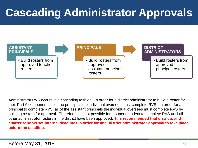# **Cascading Administrator Approvals**



Administrator RVS occurs in a cascading fashion. In order for a district administrator to build a roster for their Part A component, all of the principals the individual oversees must complete RVS. In order for a principal to complete RVS, all of the assistant principals the individual oversees must complete RVS by building rosters for approval. Therefore, it is not possible for a superintendent to complete RVS until all other administrator rosters in the district have been approved. **It is recommended that districts and charter schools set internal deadlines in order for final district administrator approval to take place before the deadline.**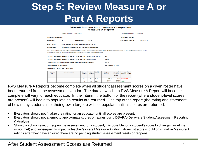# **Step 5: Review Measure A or Part A Reports**

#### **DPAS-II Student Improvement Component Measure A Report**

| Date Created: 7/11/2017                                  |                                 |                                                                                                                                                                                                      |                             | Last Updated: 7/11/2017     |                |                         |                                         |                               |  |            |
|----------------------------------------------------------|---------------------------------|------------------------------------------------------------------------------------------------------------------------------------------------------------------------------------------------------|-----------------------------|-----------------------------|----------------|-------------------------|-----------------------------------------|-------------------------------|--|------------|
| <b>TEACHER NAME:</b>                                     |                                 |                                                                                                                                                                                                      |                             |                             |                |                         |                                         | <b>EMPLOYEE ID:</b>           |  |            |
| <b>GRADE:</b>                                            | 7                               | <b>SUBJECT:</b>                                                                                                                                                                                      |                             | <b>ELA</b>                  |                |                         |                                         | <b>SCHOOL YEAR:</b>           |  | $2016 - 1$ |
| <b>DISTRICT:</b><br><b>APPOQUINIMINK SCHOOL DISTRICT</b> |                                 |                                                                                                                                                                                                      |                             |                             |                |                         |                                         |                               |  |            |
| <b>SCHOOL:</b>                                           |                                 | <b>WATERS (ALFRED G.) MIDDLE SCHOOL</b>                                                                                                                                                              |                             |                             |                |                         |                                         |                               |  |            |
|                                                          |                                 | The Student Improvement Component Measure A rating herein is based on student performance on the state assessment and is<br>applicable only to Group 1 Educators in the school year specified above. |                             |                             |                |                         |                                         |                               |  |            |
|                                                          |                                 | TOTAL NUMBER OF STUDENT GROWTH TARGETS* MET:                                                                                                                                                         |                             |                             |                | 61                      |                                         |                               |  |            |
|                                                          |                                 | TOTAL NUMBER OF STUDENT GROWTH TARGETS*:                                                                                                                                                             |                             |                             |                | 108                     |                                         |                               |  |            |
|                                                          |                                 | PERCENT OF STUDENT GROWTH TARGETS* MET:                                                                                                                                                              |                             |                             |                | 56 %                    |                                         |                               |  |            |
|                                                          | <b>MEASURE A RATING:</b>        |                                                                                                                                                                                                      |                             |                             |                | <b>SATISFACTORY</b>     |                                         |                               |  |            |
|                                                          | <b>VERIFIED ROSTER DETAILS:</b> |                                                                                                                                                                                                      |                             |                             |                |                         |                                         |                               |  |            |
| <b>Student</b><br>ID                                     | <b>Student Name</b>             |                                                                                                                                                                                                      | <b>SWD</b><br><b>Status</b> | <b>ELL</b><br><b>Status</b> | <b>Subject</b> | <b>Target</b><br>Score* | <b>Actual</b><br><b>Spring</b><br>Score | Was the<br><b>Target Met?</b> |  |            |
|                                                          |                                 |                                                                                                                                                                                                      | No                          | No                          | <b>ELA</b>     | 2562                    |                                         | 2474 NOTMET                   |  |            |
|                                                          |                                 |                                                                                                                                                                                                      | No                          | <b>No</b>                   | <b>ELA</b>     | 2661                    | 2700 MET                                |                               |  |            |
|                                                          |                                 |                                                                                                                                                                                                      |                             |                             |                | ----                    | ----                                    |                               |  |            |

RVS Measure A Reports become complete when all student assessment scores on a given roster have been returned from the assessment vendor. The date at which an RVS Measure A Report will become complete will vary for each educator. In the interim, the bottom of the report (where student-level scores are present) will begin to populate as results are returned. The top of the report (the rating and statement of how many students met their growth targets) will not populate until all scores are returned.

- Evaluators should not finalize the rating for an educator until all scores are present.
- Evaluators should not attempt to approximate scores or ratings using DSARA (Delaware Student Assessment Reporting & Analysis).
- Should a school reset or reopen the assessment for a student, it is possible for a student's score to change (target met or not met) and subsequently impact a teacher's overall Measure A rating. Administrators should only finalize Measure A ratings after they have ensured there are no pending student assessment resets or reopens.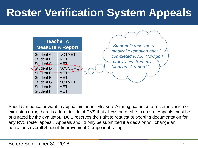# **Roster Verification System Appeals**



Should an educator want to appeal his or her Measure A rating based on a roster inclusion or exclusion error, there is a form inside of RVS that allows he or she to do so. Appeals must be originated by the evaluator. DOE reserves the right to request supporting documentation for any RVS roster appeal. Appeals should only be submitted if a decision will change an educator's overall Student Improvement Component rating.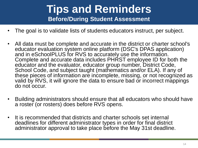### **Tips and Reminders Before/During Student Assessment**

- The goal is to validate lists of students educators instruct, per subject.
- All data must be complete and accurate in the district or charter school's educator evaluation system online platform (DSC's DPAS application) and in eSchoolPLUS for RVS to accurately use the information. Complete and accurate data includes PHRST employee ID for both the educator and the evaluator, educator group number, District Code, School Code, and subject taught (mathematics and/or ELA). If any of these pieces of information are incomplete, missing, or not recognized as valid by RVS, it will ignore the data to ensure bad or incorrect mappings do not occur.
- Building administrators should ensure that all educators who should have a roster (or rosters) does before RVS opens.
- It is recommended that districts and charter schools set internal deadlines for different administrator types in order for final district administrator approval to take place before the May 31st deadline.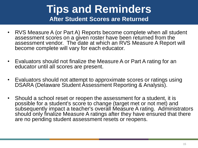### **Tips and Reminders After Student Scores are Returned**

- RVS Measure A (or Part A) Reports become complete when all student assessment scores on a given roster have been returned from the assessment vendor. The date at which an RVS Measure A Report will become complete will vary for each educator.
- Evaluators should not finalize the Measure A or Part A rating for an educator until all scores are present.
- Evaluators should not attempt to approximate scores or ratings using DSARA (Delaware Student Assessment Reporting & Analysis).
- Should a school reset or reopen the assessment for a student, it is possible for a student's score to change (target met or not met) and subsequently impact a teacher's overall Measure A rating. Administrators should only finalize Measure A ratings after they have ensured that there are no pending student assessment resets or reopens.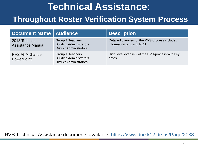# **Technical Assistance: Throughout Roster Verification System Process**

| Document Name   Audience                    |                                                                                      | <b>Description</b>                                                        |
|---------------------------------------------|--------------------------------------------------------------------------------------|---------------------------------------------------------------------------|
| 2018 Technical<br><b>Assistance Manual</b>  | Group 1 Teachers<br><b>Building Administrators</b><br><b>District Administrators</b> | Detailed overview of the RVS-process included<br>information on using RVS |
| <b>RVS At-A-Glance</b><br><b>PowerPoint</b> | Group 1 Teachers<br><b>Building Administrators</b><br><b>District Administrators</b> | High-level overview of the RVS-process with key<br>dates                  |

RVS Technical Assistance documents available: <https://www.doe.k12.de.us/Page/2088>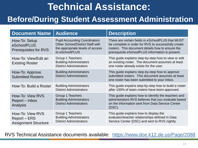## **Technical Assistance:**

### **Before/During Student Assessment Administration**

| <b>Document Name</b>                                            | <b>Audience</b>                                                                                                                       | <b>Description</b>                                                                                                                                                                                               |
|-----------------------------------------------------------------|---------------------------------------------------------------------------------------------------------------------------------------|------------------------------------------------------------------------------------------------------------------------------------------------------------------------------------------------------------------|
| How-To: Setup<br>eSchoolPLUS<br><b>Prerequisites for RVS</b>    | <b>Pupil Accounting Coordinators</b><br><b>Other School/District Staff with</b><br>the appropriate levels of access<br>to eSchoolPLUS | There are certain fields in eSchoolPLUS that MUST<br>be complete in order for RVS to successfully create<br>rosters. This document details how to ensure the<br>prerequisite eSchoolPLUS information is present. |
| How-To: View/Edit an<br><b>Existing Roster</b>                  | Group 1 Teachers<br><b>Building Administrators</b><br><b>District Administrators</b>                                                  | This guide explains step-by-step how to view or edit<br>an existing roster. The document assumes at least<br>one roster already exists for the user.                                                             |
| How-To: Approve<br><b>Submitted Rosters</b>                     | <b>Building Administrators</b><br><b>District Administrators</b>                                                                      | This guide explains step-by-step how to approve<br>submitted rosters. This document assumes at least<br>one roster has been submitted to your Inbox.                                                             |
| How-To: Build a Roster                                          | <b>Building Administrators</b><br><b>District Administrators</b>                                                                      | This guide expains step-by-step how to build a roster<br>after 100% of team rosters have been approved.                                                                                                          |
| How-To: View RVS<br>Report – Inbox<br>Analysis                  | Group 1 Teachers<br><b>Building Administrators</b><br><b>District Administrators</b>                                                  | This guide explains how to identify the teachers and<br>administrators RVS believes that you evaluate based<br>on the information sent from Data Service Center<br>$(DSC)$ .                                     |
| How-To: View RVS<br>Report – ERS<br><b>Assignment Structure</b> | Group 1 Teachers<br><b>Building Administrators</b><br><b>District Administrators</b>                                                  | This guide explains how to display the<br>evaluator/teacher relationships defined in Data<br>Service Center (DSC) and sent to RVS nightly.                                                                       |

RVS Technical Assistance documents available: <https://www.doe.k12.de.us/Page/2088>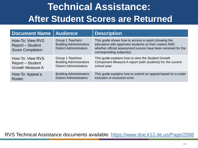## **Technical Assistance: After Student Scores are Returned**

| <b>Document Name</b>                                                   | <b>Audience</b>                                                                      | <b>Description</b>                                                                                                                                                                                         |
|------------------------------------------------------------------------|--------------------------------------------------------------------------------------|------------------------------------------------------------------------------------------------------------------------------------------------------------------------------------------------------------|
| How-To: View RVS<br><b>Report - Student</b><br><b>Score Completion</b> | Group 1 Teachers<br><b>Building Administrators</b><br><b>District Administrators</b> | This guide shows how to access a report showing the<br>educators with approved students on their rosters AND<br>whether official assessment scores have been received for the<br>corresponding subject(s). |
| How-To: View RVS                                                       | Group 1 Teachers                                                                     | This guide explains how to view the Student Growth                                                                                                                                                         |
| <b>Report – Student</b>                                                | <b>Building Administrators</b>                                                       | Component Measure A report (with students) for the current                                                                                                                                                 |
| <b>Growth Measure A</b>                                                | <b>District Administrators</b>                                                       | school year.                                                                                                                                                                                               |
| How-To: Appeal a                                                       | <b>Building Administrators</b>                                                       | This guide explains how to submit an appeal based on a roster                                                                                                                                              |
| <b>Roster</b>                                                          | <b>District Administrators</b>                                                       | inclusion or exclusion error.                                                                                                                                                                              |